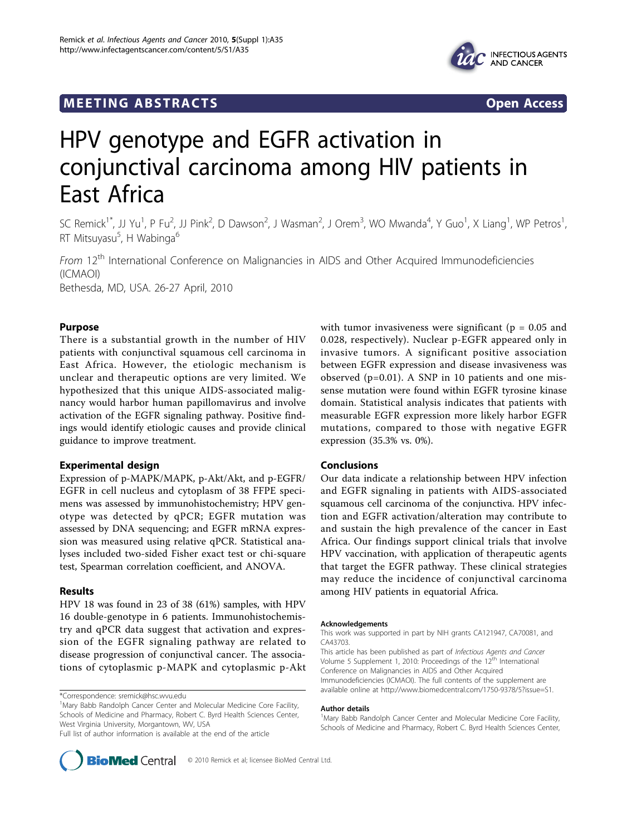# **MEETING ABSTRACTS** And the state of the state of the state of the state of the state of the state of the state of the state of the state of the state of the state of the state of the state of the state of the state of the



# HPV genotype and EGFR activation in conjunctival carcinoma among HIV patients in East Africa

SC Remick<sup>1\*</sup>, JJ Yu<sup>1</sup>, P Fu<sup>2</sup>, JJ Pink<sup>2</sup>, D Dawson<sup>2</sup>, J Wasman<sup>2</sup>, J Orem<sup>3</sup>, WO Mwanda<sup>4</sup>, Y Guo<sup>1</sup>, X Liang<sup>1</sup>, WP Petros<sup>1</sup> , RT Mitsuyasu<sup>5</sup>, H Wabinga<sup>6</sup>

From 12<sup>th</sup> International Conference on Malignancies in AIDS and Other Acquired Immunodeficiencies (ICMAOI) Bethesda, MD, USA. 26-27 April, 2010

## Purpose

There is a substantial growth in the number of HIV patients with conjunctival squamous cell carcinoma in East Africa. However, the etiologic mechanism is unclear and therapeutic options are very limited. We hypothesized that this unique AIDS-associated malignancy would harbor human papillomavirus and involve activation of the EGFR signaling pathway. Positive findings would identify etiologic causes and provide clinical guidance to improve treatment.

## Experimental design

Expression of p-MAPK/MAPK, p-Akt/Akt, and p-EGFR/ EGFR in cell nucleus and cytoplasm of 38 FFPE specimens was assessed by immunohistochemistry; HPV genotype was detected by qPCR; EGFR mutation was assessed by DNA sequencing; and EGFR mRNA expression was measured using relative qPCR. Statistical analyses included two-sided Fisher exact test or chi-square test, Spearman correlation coefficient, and ANOVA.

# Results

HPV 18 was found in 23 of 38 (61%) samples, with HPV 16 double-genotype in 6 patients. Immunohistochemistry and qPCR data suggest that activation and expression of the EGFR signaling pathway are related to disease progression of conjunctival cancer. The associations of cytoplasmic p-MAPK and cytoplasmic p-Akt

\*Correspondence: [sremick@hsc.wvu.edu](mailto:sremick@hsc.wvu.edu)



#### Conclusions

Our data indicate a relationship between HPV infection and EGFR signaling in patients with AIDS-associated squamous cell carcinoma of the conjunctiva. HPV infection and EGFR activation/alteration may contribute to and sustain the high prevalence of the cancer in East Africa. Our findings support clinical trials that involve HPV vaccination, with application of therapeutic agents that target the EGFR pathway. These clinical strategies may reduce the incidence of conjunctival carcinoma among HIV patients in equatorial Africa.

#### Acknowledgements

This work was supported in part by NIH grants CA121947, CA70081, and CA43703.

This article has been published as part of Infectious Agents and Cancer Volume 5 Supplement 1, 2010: Proceedings of the 12<sup>th</sup> International Conference on Malignancies in AIDS and Other Acquired Immunodeficiencies (ICMAOI). The full contents of the supplement are available online at [http://www.biomedcentral.com/1750-9378/5?issue=S1.](http://www.biomedcentral.com/1750-9378/5?issue=S1)

#### Author details

<sup>&</sup>lt;sup>1</sup>Mary Babb Randolph Cancer Center and Molecular Medicine Core Facility, Schools of Medicine and Pharmacy, Robert C. Byrd Health Sciences Center,



<sup>&</sup>lt;sup>1</sup>Mary Babb Randolph Cancer Center and Molecular Medicine Core Facility, Schools of Medicine and Pharmacy, Robert C. Byrd Health Sciences Center, West Virginia University, Morgantown, WV, USA

Full list of author information is available at the end of the article